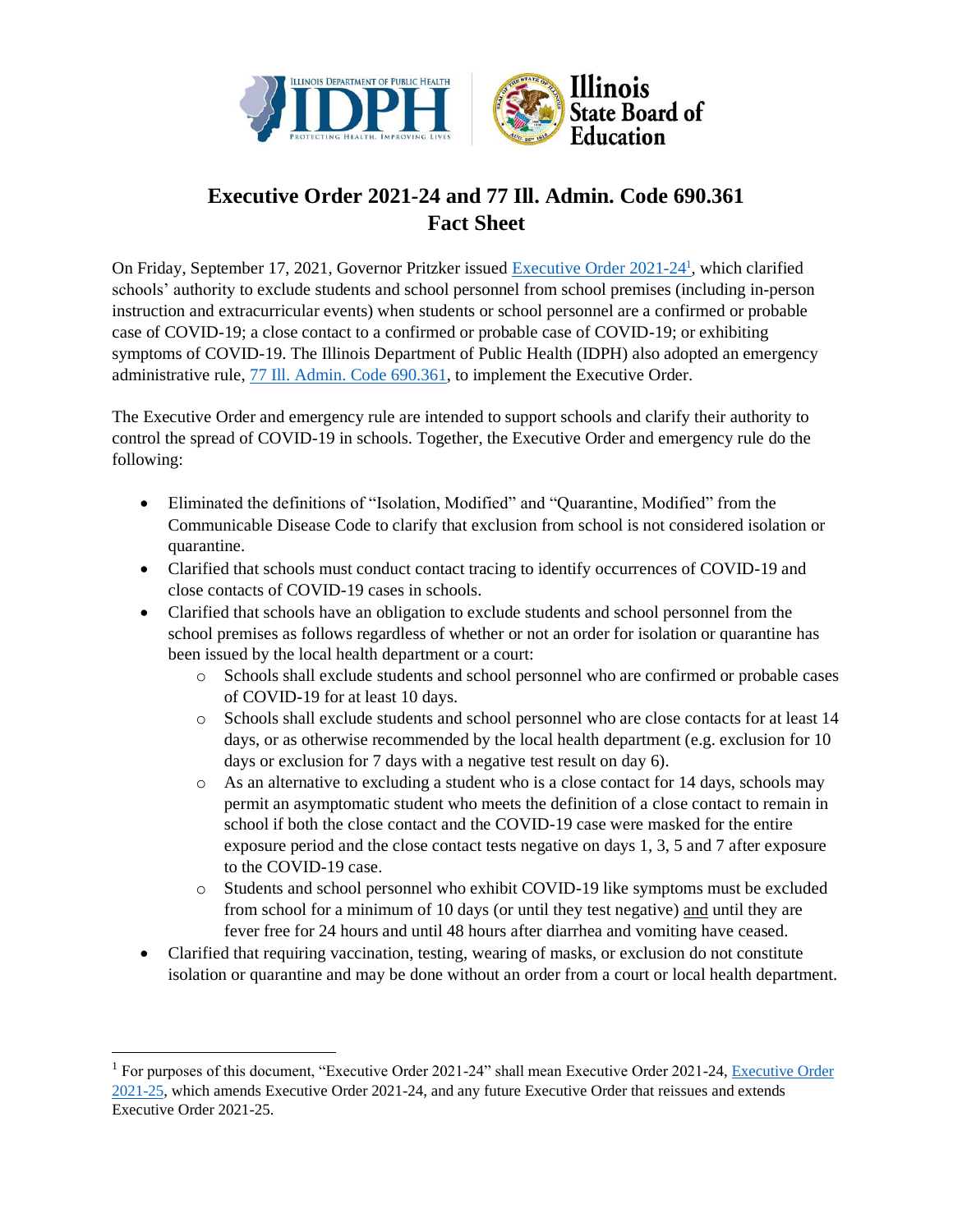

## **Executive Order 2021-24 and 77 Ill. Admin. Code 690.361 Fact Sheet**

On Friday, September 17, 2021, Governor Pritzker issued [Executive Order 2021-24](https://www.illinois.gov/government/executive-orders/executive-order.executive-order-number-24.2021.html)<sup>1</sup>, which clarified schools' authority to exclude students and school personnel from school premises (including in-person instruction and extracurricular events) when students or school personnel are a confirmed or probable case of COVID-19; a close contact to a confirmed or probable case of COVID-19; or exhibiting symptoms of COVID-19. The Illinois Department of Public Health (IDPH) also adopted an emergency administrative rule, [77 Ill. Admin. Code 690.361,](https://www.ilga.gov/commission/jcar/admincode/077/077006900D03610R.html) to implement the Executive Order.

The Executive Order and emergency rule are intended to support schools and clarify their authority to control the spread of COVID-19 in schools. Together, the Executive Order and emergency rule do the following:

- Eliminated the definitions of "Isolation, Modified" and "Quarantine, Modified" from the Communicable Disease Code to clarify that exclusion from school is not considered isolation or quarantine.
- Clarified that schools must conduct contact tracing to identify occurrences of COVID-19 and close contacts of COVID-19 cases in schools.
- Clarified that schools have an obligation to exclude students and school personnel from the school premises as follows regardless of whether or not an order for isolation or quarantine has been issued by the local health department or a court:
	- o Schools shall exclude students and school personnel who are confirmed or probable cases of COVID-19 for at least 10 days.
	- o Schools shall exclude students and school personnel who are close contacts for at least 14 days, or as otherwise recommended by the local health department (e.g. exclusion for 10 days or exclusion for 7 days with a negative test result on day 6).
	- $\circ$  As an alternative to excluding a student who is a close contact for 14 days, schools may permit an asymptomatic student who meets the definition of a close contact to remain in school if both the close contact and the COVID-19 case were masked for the entire exposure period and the close contact tests negative on days 1, 3, 5 and 7 after exposure to the COVID-19 case.
	- o Students and school personnel who exhibit COVID-19 like symptoms must be excluded from school for a minimum of 10 days (or until they test negative) and until they are fever free for 24 hours and until 48 hours after diarrhea and vomiting have ceased.
- Clarified that requiring vaccination, testing, wearing of masks, or exclusion do not constitute isolation or quarantine and may be done without an order from a court or local health department.

<sup>&</sup>lt;sup>1</sup> For purposes of this document, "Executive Order 2021-24" shall mean [Executive Order](https://www.illinois.gov/government/executive-orders/executive-order.executive-order-number-25.2021.html) 2021-24, Executive Order [2021-25,](https://www.illinois.gov/government/executive-orders/executive-order.executive-order-number-25.2021.html) which amends Executive Order 2021-24, and any future Executive Order that reissues and extends Executive Order 2021-25.